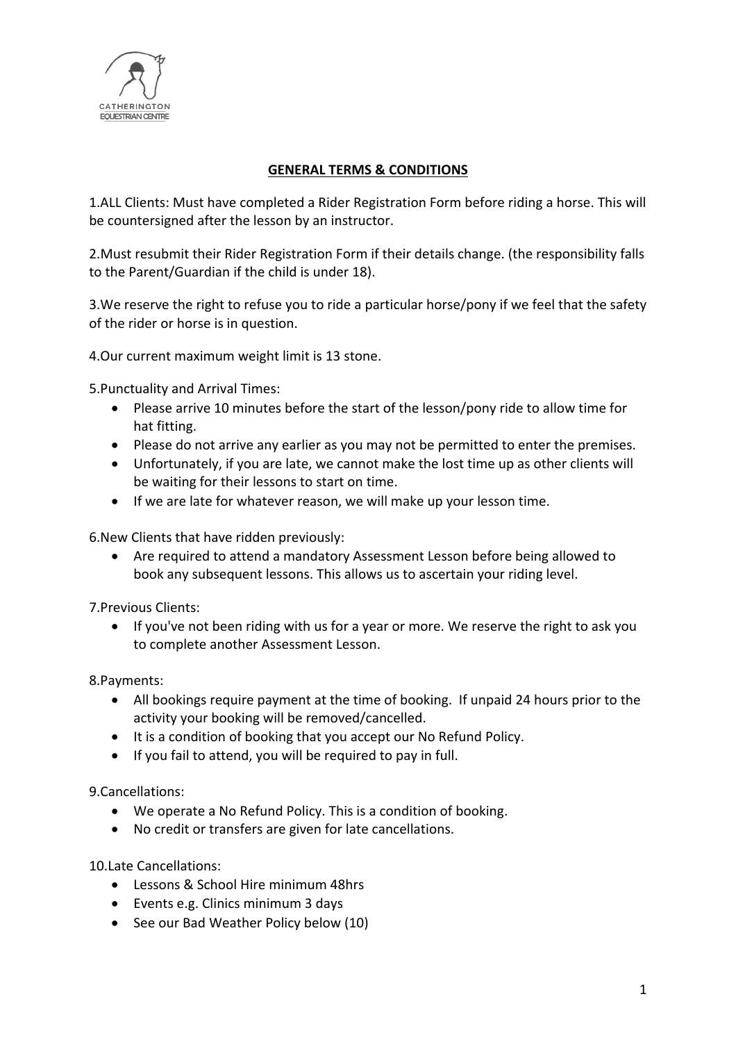

## **GENERAL TERMS & CONDITIONS**

1.ALL Clients: Must have completed a Rider Registration Form before riding a horse. This will be countersigned after the lesson by an instructor.

2.Must resubmit their Rider Registration Form if their details change. (the responsibility falls to the Parent/Guardian if the child is under 18).

3.We reserve the right to refuse you to ride a particular horse/pony if we feel that the safety of the rider or horse is in question.

4.Our current maximum weight limit is 13 stone.

5.Punctuality and Arrival Times:

- Please arrive 10 minutes before the start of the lesson/pony ride to allow time for hat fitting.
- Please do not arrive any earlier as you may not be permitted to enter the premises.
- Unfortunately, if you are late, we cannot make the lost time up as other clients will be waiting for their lessons to start on time.
- If we are late for whatever reason, we will make up your lesson time.

6.New Clients that have ridden previously:

• Are required to attend a mandatory Assessment Lesson before being allowed to book any subsequent lessons. This allows us to ascertain your riding level.

7.Previous Clients:

• If you've not been riding with us for a year or more. We reserve the right to ask you to complete another Assessment Lesson.

8.Payments:

- All bookings require payment at the time of booking. If unpaid 24 hours prior to the activity your booking will be removed/cancelled.
- It is a condition of booking that you accept our No Refund Policy.
- If you fail to attend, you will be required to pay in full.

9.Cancellations:

- We operate a No Refund Policy. This is a condition of booking.
- No credit or transfers are given for late cancellations.

10.Late Cancellations:

- Lessons & School Hire minimum 48hrs
- Events e.g. Clinics minimum 3 days
- See our Bad Weather Policy below (10)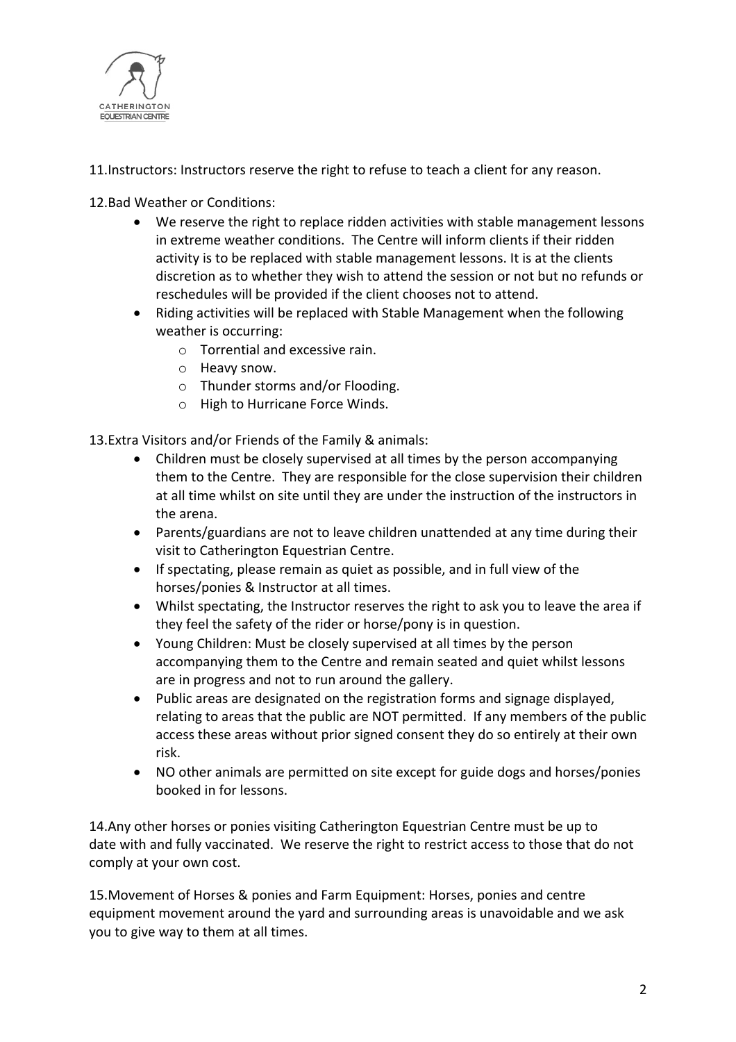

11.Instructors: Instructors reserve the right to refuse to teach a client for any reason.

12.Bad Weather or Conditions:

- We reserve the right to replace ridden activities with stable management lessons in extreme weather conditions. The Centre will inform clients if their ridden activity is to be replaced with stable management lessons. It is at the clients discretion as to whether they wish to attend the session or not but no refunds or reschedules will be provided if the client chooses not to attend.
- Riding activities will be replaced with Stable Management when the following weather is occurring:
	- o Torrential and excessive rain.
	- o Heavy snow.
	- o Thunder storms and/or Flooding.
	- o High to Hurricane Force Winds.

13.Extra Visitors and/or Friends of the Family & animals:

- Children must be closely supervised at all times by the person accompanying them to the Centre. They are responsible for the close supervision their children at all time whilst on site until they are under the instruction of the instructors in the arena.
- Parents/guardians are not to leave children unattended at any time during their visit to Catherington Equestrian Centre.
- If spectating, please remain as quiet as possible, and in full view of the horses/ponies & Instructor at all times.
- Whilst spectating, the Instructor reserves the right to ask you to leave the area if they feel the safety of the rider or horse/pony is in question.
- Young Children: Must be closely supervised at all times by the person accompanying them to the Centre and remain seated and quiet whilst lessons are in progress and not to run around the gallery.
- Public areas are designated on the registration forms and signage displayed, relating to areas that the public are NOT permitted. If any members of the public access these areas without prior signed consent they do so entirely at their own risk.
- NO other animals are permitted on site except for guide dogs and horses/ponies booked in for lessons.

14.Any other horses or ponies visiting Catherington Equestrian Centre must be up to date with and fully vaccinated. We reserve the right to restrict access to those that do not comply at your own cost.

15.Movement of Horses & ponies and Farm Equipment: Horses, ponies and centre equipment movement around the yard and surrounding areas is unavoidable and we ask you to give way to them at all times.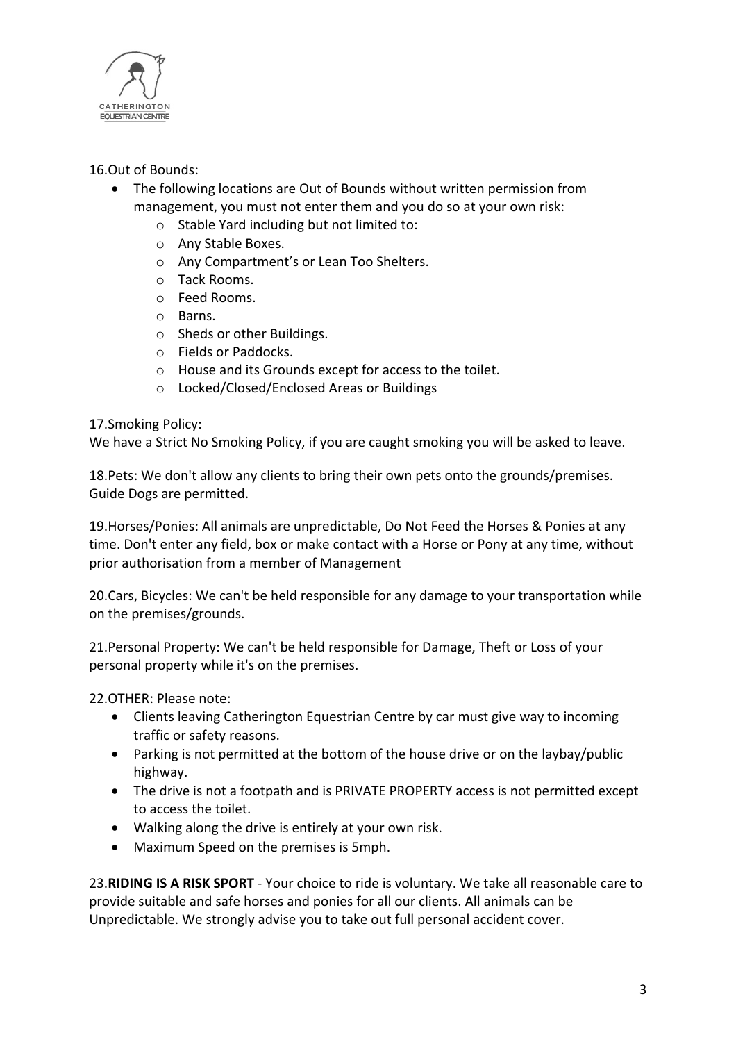

# 16.Out of Bounds:

- The following locations are Out of Bounds without written permission from management, you must not enter them and you do so at your own risk:
	- o Stable Yard including but not limited to:
	- o Any Stable Boxes.
	- o Any Compartment's or Lean Too Shelters.
	- o Tack Rooms.
	- o Feed Rooms.
	- o Barns.
	- o Sheds or other Buildings.
	- o Fields or Paddocks.
	- o House and its Grounds except for access to the toilet.
	- o Locked/Closed/Enclosed Areas or Buildings

## 17.Smoking Policy:

We have a Strict No Smoking Policy, if you are caught smoking you will be asked to leave.

18.Pets: We don't allow any clients to bring their own pets onto the grounds/premises. Guide Dogs are permitted.

19.Horses/Ponies: All animals are unpredictable, Do Not Feed the Horses & Ponies at any time. Don't enter any field, box or make contact with a Horse or Pony at any time, without prior authorisation from a member of Management

20.Cars, Bicycles: We can't be held responsible for any damage to your transportation while on the premises/grounds.

21.Personal Property: We can't be held responsible for Damage, Theft or Loss of your personal property while it's on the premises.

22.OTHER: Please note:

- Clients leaving Catherington Equestrian Centre by car must give way to incoming traffic or safety reasons.
- Parking is not permitted at the bottom of the house drive or on the laybay/public highway.
- The drive is not a footpath and is PRIVATE PROPERTY access is not permitted except to access the toilet.
- Walking along the drive is entirely at your own risk.
- Maximum Speed on the premises is 5mph.

23.**RIDING IS A RISK SPORT** - Your choice to ride is voluntary. We take all reasonable care to provide suitable and safe horses and ponies for all our clients. All animals can be Unpredictable. We strongly advise you to take out full personal accident cover.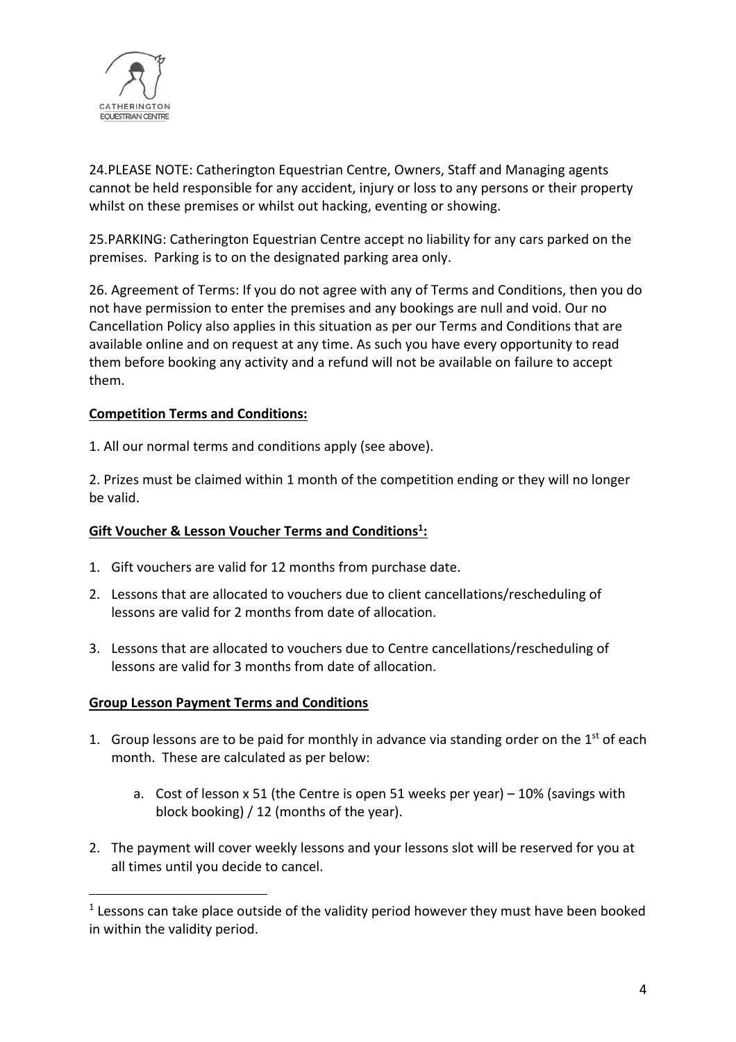

24.PLEASE NOTE: Catherington Equestrian Centre, Owners, Staff and Managing agents cannot be held responsible for any accident, injury or loss to any persons or their property whilst on these premises or whilst out hacking, eventing or showing.

25.PARKING: Catherington Equestrian Centre accept no liability for any cars parked on the premises. Parking is to on the designated parking area only.

26. Agreement of Terms: If you do not agree with any of Terms and Conditions, then you do not have permission to enter the premises and any bookings are null and void. Our no Cancellation Policy also applies in this situation as per our Terms and Conditions that are available online and on request at any time. As such you have every opportunity to read them before booking any activity and a refund will not be available on failure to accept them.

## **Competition Terms and Conditions:**

1. All our normal terms and conditions apply (see above).

2. Prizes must be claimed within 1 month of the competition ending or they will no longer be valid.

## **Gift Voucher & Lesson Voucher Terms and Conditions1 :**

- 1. Gift vouchers are valid for 12 months from purchase date.
- 2. Lessons that are allocated to vouchers due to client cancellations/rescheduling of lessons are valid for 2 months from date of allocation.
- 3. Lessons that are allocated to vouchers due to Centre cancellations/rescheduling of lessons are valid for 3 months from date of allocation.

#### **Group Lesson Payment Terms and Conditions**

- 1. Group lessons are to be paid for monthly in advance via standing order on the  $1<sup>st</sup>$  of each month. These are calculated as per below:
	- a. Cost of lesson x 51 (the Centre is open 51 weeks per year) 10% (savings with block booking) / 12 (months of the year).
- 2. The payment will cover weekly lessons and your lessons slot will be reserved for you at all times until you decide to cancel.

 $1$  Lessons can take place outside of the validity period however they must have been booked in within the validity period.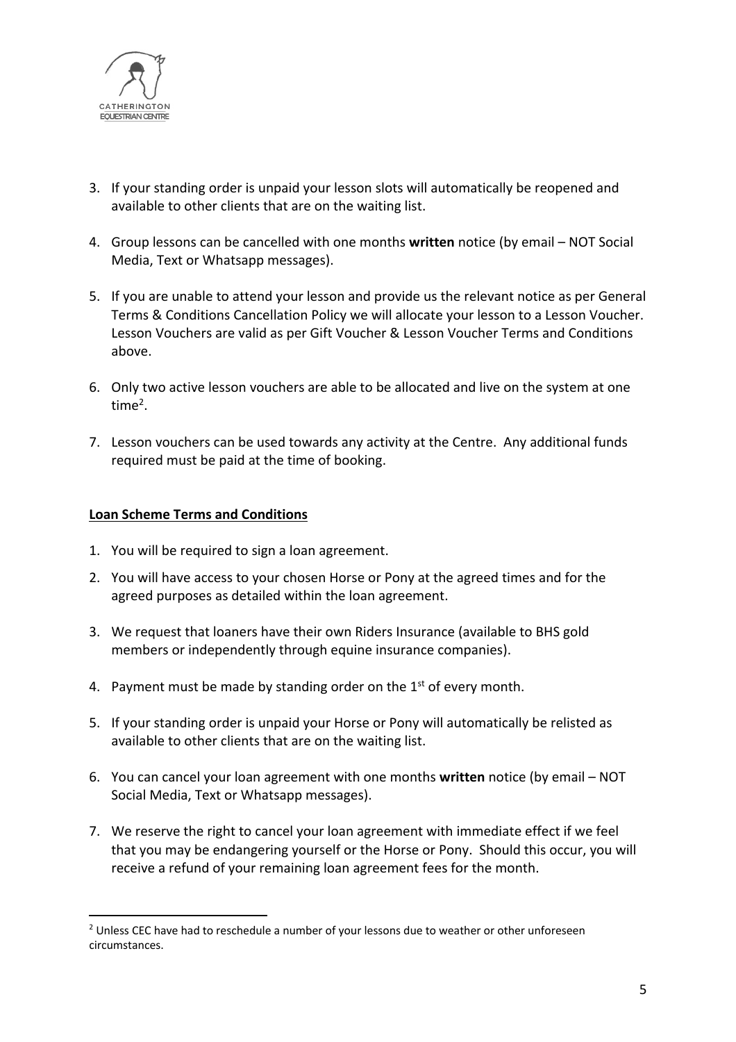

- 3. If your standing order is unpaid your lesson slots will automatically be reopened and available to other clients that are on the waiting list.
- 4. Group lessons can be cancelled with one months **written** notice (by email NOT Social Media, Text or Whatsapp messages).
- 5. If you are unable to attend your lesson and provide us the relevant notice as per General Terms & Conditions Cancellation Policy we will allocate your lesson to a Lesson Voucher. Lesson Vouchers are valid as per Gift Voucher & Lesson Voucher Terms and Conditions above.
- 6. Only two active lesson vouchers are able to be allocated and live on the system at one time2.
- 7. Lesson vouchers can be used towards any activity at the Centre. Any additional funds required must be paid at the time of booking.

#### **Loan Scheme Terms and Conditions**

- 1. You will be required to sign a loan agreement.
- 2. You will have access to your chosen Horse or Pony at the agreed times and for the agreed purposes as detailed within the loan agreement.
- 3. We request that loaners have their own Riders Insurance (available to BHS gold members or independently through equine insurance companies).
- 4. Payment must be made by standing order on the  $1<sup>st</sup>$  of every month.
- 5. If your standing order is unpaid your Horse or Pony will automatically be relisted as available to other clients that are on the waiting list.
- 6. You can cancel your loan agreement with one months **written** notice (by email NOT Social Media, Text or Whatsapp messages).
- 7. We reserve the right to cancel your loan agreement with immediate effect if we feel that you may be endangering yourself or the Horse or Pony. Should this occur, you will receive a refund of your remaining loan agreement fees for the month.

<sup>&</sup>lt;sup>2</sup> Unless CEC have had to reschedule a number of your lessons due to weather or other unforeseen circumstances.